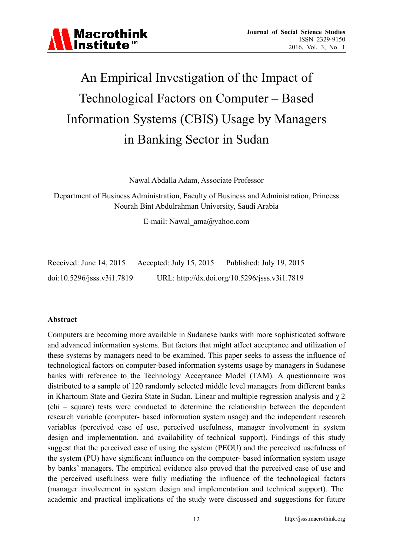

## An Empirical Investigation of the Impact of Technological Factors on Computer – Based Information Systems (CBIS) Usage by Managers in Banking Sector in Sudan

Nawal Abdalla Adam, Associate Professor

Department of Business Administration, Faculty of Business and Administration, Princess Nourah Bint Abdulrahman University, Saudi Arabia

E-mail: Nawal\_ama@yahoo.com

| Received: June 14, 2015          | Accepted: July 15, 2015 | Published: July 19, 2015                      |
|----------------------------------|-------------------------|-----------------------------------------------|
| $doi:10.5296/$ jsss.v $3i1.7819$ |                         | URL: http://dx.doi.org/10.5296/jsss.v3i1.7819 |

#### **Abstract**

Computers are becoming more available in Sudanese banks with more sophisticated software and advanced information systems. But factors that might affect acceptance and utilization of these systems by managers need to be examined. This paper seeks to assess the influence of technological factors on computer-based information systems usage by managers in Sudanese banks with reference to the Technology Acceptance Model (TAM). A questionnaire was distributed to a sample of 120 randomly selected middle level managers from different banks in Khartoum State and Gezira State in Sudan. Linear and multiple regression analysis and χ 2 (chi – square) tests were conducted to determine the relationship between the dependent research variable (computer- based information system usage) and the independent research variables (perceived ease of use, perceived usefulness, manager involvement in system design and implementation, and availability of technical support). Findings of this study suggest that the perceived ease of using the system (PEOU) and the perceived usefulness of the system (PU) have significant influence on the computer- based information system usage by banks' managers. The empirical evidence also proved that the perceived ease of use and the perceived usefulness were fully mediating the influence of the technological factors (manager involvement in system design and implementation and technical support). The academic and practical implications of the study were discussed and suggestions for future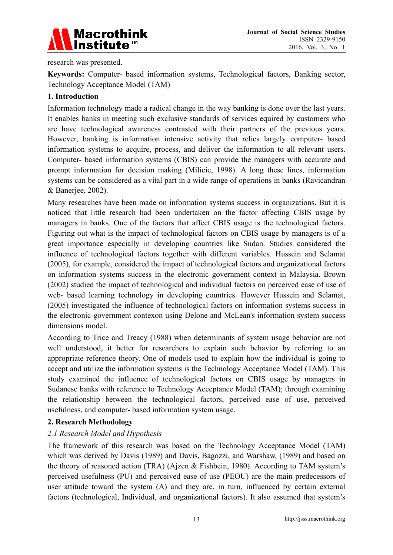

research was presented.

**Keywords:** Computer- based information systems, Technological factors, Banking sector, Technology Acceptance Model (TAM)

#### **1. Introduction**

Information technology made a radical change in the way banking is done over the last years. It enables banks in meeting such exclusive standards of services equired by customers who are have technological awareness contrasted with their partners of the previous years. However, banking is information intensive activity that relies largely computer- based information systems to acquire, process, and deliver the information to all relevant users. Computer- based information systems (CBIS) can provide the managers with accurate and prompt information for decision making (Milicic, 1998). A long these lines, information systems can be considered as a vital part in a wide range of operations in banks (Ravicandran & Banerjee, 2002).

Many researches have been made on information systems success in organizations. But it is noticed that little research had been undertaken on the factor affecting CBIS usage by managers in banks. One of the factors that affect CBIS usage is the technological factors. Figuring out what is the impact of technological factors on CBIS usage by managers is of a great importance especially in developing countries like Sudan. Studies considered the influence of technological factors together with different variables. Hussein and Selamat (2005), for example, considered the impact of technological factors and organizational factors on information systems success in the electronic government context in Malaysia. Brown (2002) studied the impact of technological and individual factors on perceived ease of use of web- based learning technology in developing countries. However Hussein and Selamat, (2005) investigated the influence of technological factors on information systems success in the electronic-government contexon using Delone and McLean's information system success dimensions model.

According to Trice and Treacy (1988) when determinants of system usage behavior are not well understood, it better for researchers to explain such behavior by referring to an appropriate reference theory. One of models used to explain how the individual is going to accept and utilize the information systems is the Technology Acceptance Model (TAM). This study examined the influence of technological factors on CBIS usage by managers in Sudanese banks with reference to Technology Acceptance Model (TAM); through examining the relationship between the technological factors, perceived ease of use, perceived usefulness, and computer- based information system usage.

#### **2. Research Methodology**

#### *2.1 Research Model and Hypothesis*

The framework of this research was based on the Technology Acceptance Model (TAM) which was derived by Davis (1989) and Davis, Bagozzi, and Warshaw, (1989) and based on the theory of reasoned action (TRA) (Ajzen & Fishbein, 1980). According to TAM system's perceived usefulness (PU) and perceived ease of use (PEOU) are the main predecessors of user attitude toward the system (A) and they are, in turn, influenced by certain external factors (technological, Individual, and organizational factors). It also assumed that system's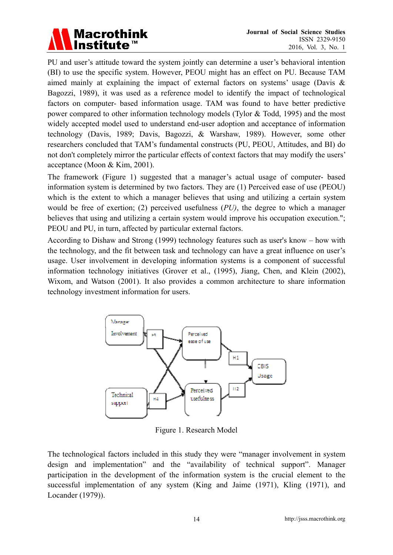

PU and user's attitude toward the system jointly can determine a user's behavioral intention (BI) to use the specific system. However, PEOU might has an effect on PU. Because TAM aimed mainly at explaining the impact of external factors on systems' usage (Davis & Bagozzi, 1989), it was used as a reference model to identify the impact of technological factors on computer- based information usage. TAM was found to have better predictive power compared to other information technology models (Tylor & Todd, 1995) and the most widely accepted model used to understand end-user adoption and acceptance of information technology (Davis, 1989; Davis, Bagozzi, & Warshaw, 1989). However, some other researchers concluded that TAM's fundamental constructs (PU, PEOU, Attitudes, and BI) do not don't completely mirror the particular effects of context factors that may modify the users' acceptance (Moon & Kim, 2001).

The framework (Figure 1) suggested that a manager's actual usage of computer- based information system is determined by two factors. They are (1) Perceived ease of use (PEOU) which is the extent to which a manager believes that using and utilizing a certain system would be free of exertion; (2) perceived usefulness (*PU)*, the degree to which a manager believes that using and utilizing a certain system would improve his occupation execution."; PEOU and PU, in turn, affected by particular external factors.

According to Dishaw and Strong (1999) technology features such as user's know – how with the technology, and the fit between task and technology can have a great influence on user's usage. User involvement in developing information systems is a component of successful information technology initiatives (Grover et al., (1995), Jiang, Chen, and Klein (2002), Wixom, and Watson (2001). It also provides a common architecture to share information technology investment information for users.



Figure 1. Research Model

The technological factors included in this study they were "manager involvement in system design and implementation" and the "availability of technical support". Manager participation in the development of the information system is the crucial element to the successful implementation of any system (King and Jaime (1971), Kling (1971), and Locander (1979)).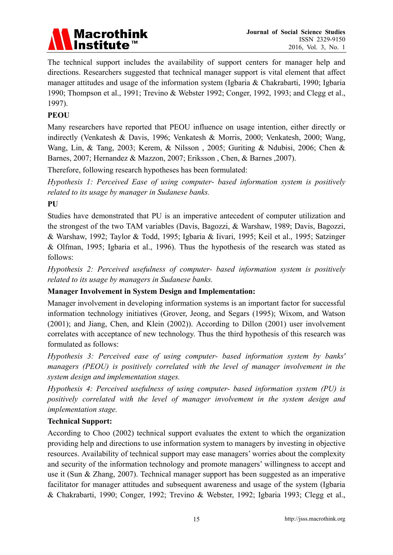

The technical support includes the availability of support centers for manager help and directions. Researchers suggested that technical manager support is vital element that affect manager attitudes and usage of the information system (Igbaria & Chakrabarti, 1990; Igbaria 1990; Thompson et al., 1991; Trevino & Webster 1992; Conger, 1992, 1993; and Clegg et al., 1997).

#### **PEOU**

Many researchers have reported that PEOU influence on usage intention, either directly or indirectly (Venkatesh & Davis, 1996; Venkatesh & Morris, 2000; Venkatesh, 2000; Wang, Wang, Lin, & Tang, 2003; Kerem, & Nilsson , 2005; Guriting & Ndubisi, 2006; Chen & Barnes, 2007; Hernandez & Mazzon, 2007; Eriksson , Chen, & Barnes ,2007).

Therefore, following research hypotheses has been formulated:

*Hypothesis 1: Perceived Ease of using computer- based information system is positively related to its usage by manager in Sudanese banks.* 

**PU** 

Studies have demonstrated that PU is an imperative antecedent of computer utilization and the strongest of the two TAM variables (Davis, Bagozzi, & Warshaw, 1989; Davis, Bagozzi, & Warshaw, 1992; Taylor & Todd, 1995; Igbaria & Iivari, 1995; Keil et al., 1995; Satzinger & Olfman, 1995; Igbaria et al., 1996). Thus the hypothesis of the research was stated as follows:

*Hypothesis 2: Perceived usefulness of computer- based information system is positively related to its usage by managers in Sudanese banks.* 

#### **Manager Involvement in System Design and Implementation:**

Manager involvement in developing information systems is an important factor for successful information technology initiatives (Grover, Jeong, and Segars (1995); Wixom, and Watson (2001); and Jiang, Chen, and Klein (2002)). According to Dillon (2001) user involvement correlates with acceptance of new technology. Thus the third hypothesis of this research was formulated as follows:

*Hypothesis 3: Perceived ease of using computer- based information system by banks' managers (PEOU) is positively correlated with the level of manager involvement in the system design and implementation stages.* 

*Hypothesis 4: Perceived usefulness of using computer- based information system (PU) is positively correlated with the level of manager involvement in the system design and implementation stage.* 

#### **Technical Support:**

According to Choo (2002) technical support evaluates the extent to which the organization providing help and directions to use information system to managers by investing in objective resources. Availability of technical support may ease managers' worries about the complexity and security of the information technology and promote managers' willingness to accept and use it (Sun & Zhang, 2007). Technical manager support has been suggested as an imperative facilitator for manager attitudes and subsequent awareness and usage of the system (Igbaria & Chakrabarti, 1990; Conger, 1992; Trevino & Webster, 1992; Igbaria 1993; Clegg et al.,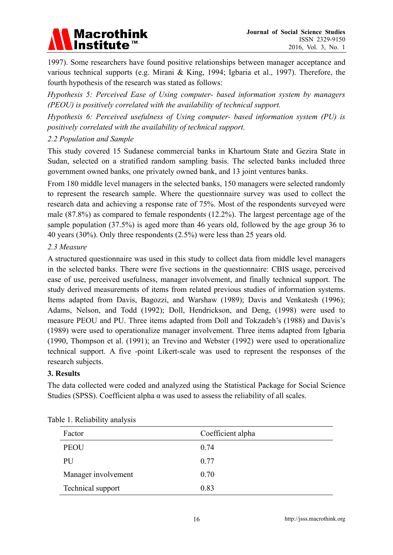

1997). Some researchers have found positive relationships between manager acceptance and various technical supports (e.g. Mirani & King, 1994; Igbaria et al., 1997). Therefore, the fourth hypothesis of the research was stated as follows:

*Hypothesis 5: Perceived Ease of Using computer- based information system by managers (PEOU) is positively correlated with the availability of technical support.* 

*Hypothesis 6: Perceived usefulness of Using computer- based information system (PU) is positively correlated with the availability of technical support.* 

#### *2.2 Population and Sample*

This study covered 15 Sudanese commercial banks in Khartoum State and Gezira State in Sudan, selected on a stratified random sampling basis. The selected banks included three government owned banks, one privately owned bank, and 13 joint ventures banks.

From 180 middle level managers in the selected banks, 150 managers were selected randomly to represent the research sample. Where the questionnaire survey was used to collect the research data and achieving a response rate of 75%. Most of the respondents surveyed were male (87.8%) as compared to female respondents (12.2%). The largest percentage age of the sample population (37.5%) is aged more than 46 years old, followed by the age group 36 to 40 years (30%). Only three respondents (2.5%) were less than 25 years old.

#### *2.3 Measure*

A structured questionnaire was used in this study to collect data from middle level managers in the selected banks. There were five sections in the questionnaire: CBIS usage, perceived ease of use, perceived usefulness, manager involvement, and finally technical support. The study derived measurements of items from related previous studies of information systems. Items adapted from Davis, Bagozzi, and Warshaw (1989); Davis and Venkatesh (1996); Adams, Nelson, and Todd (1992); Doll, Hendrickson, and Deng, (1998) were used to measure PEOU and PU. Three items adapted from Doll and Tokzadeh's (1988) and Davis's (1989) were used to operationalize manager involvement. Three items adapted from Igbaria (1990, Thompson et al. (1991); an Trevino and Webster (1992) were used to operationalize technical support. A five -point Likert-scale was used to represent the responses of the research subjects.

#### **3. Results**

The data collected were coded and analyzed using the Statistical Package for Social Science Studies (SPSS). Coefficient alpha  $\alpha$  was used to assess the reliability of all scales.

| Factor              | Coefficient alpha |
|---------------------|-------------------|
| <b>PEOU</b>         | 0.74              |
| PU                  | 0.77              |
| Manager involvement | 0.70              |
| Technical support   | 0.83              |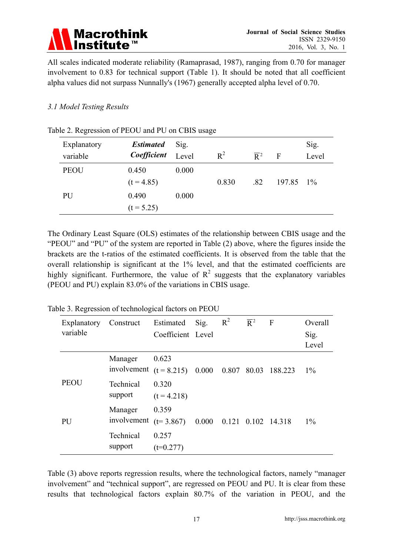

All scales indicated moderate reliability (Ramaprasad, 1987), ranging from 0.70 for manager involvement to 0.83 for technical support (Table 1). It should be noted that all coefficient alpha values did not surpass Nunnally's (1967) generally accepted alpha level of 0.70.

#### *3.1 Model Testing Results*

| Explanatory<br>variable | <b>Estimated</b><br>Coefficient | Sig.<br>Level | $R^2$ | $\overline{\mathsf{R}}^2$ | $\mathbf F$ | Sig.<br>Level |
|-------------------------|---------------------------------|---------------|-------|---------------------------|-------------|---------------|
| <b>PEOU</b>             | 0.450<br>$(t = 4.85)$           | 0.000         | 0.830 | .82                       | 197.85 1\%  |               |
| PU                      | 0.490<br>$(t = 5.25)$           | 0.000         |       |                           |             |               |

#### Table 2. Regression of PEOU and PU on CBIS usage

The Ordinary Least Square (OLS) estimates of the relationship between CBIS usage and the "PEOU" and "PU" of the system are reported in Table (2) above, where the figures inside the brackets are the t-ratios of the estimated coefficients. It is observed from the table that the overall relationship is significant at the 1% level, and that the estimated coefficients are highly significant. Furthermore, the value of  $R^2$  suggests that the explanatory variables (PEOU and PU) explain 83.0% of the variations in CBIS usage.

Table 3. Regression of technological factors on PEOU

| Explanatory<br>variable | Construct                                           | Estimated         | Sig. | $R^2$ | $\overline{\mathsf{R}}^2$ | $\mathbf{F}$ | Overall |
|-------------------------|-----------------------------------------------------|-------------------|------|-------|---------------------------|--------------|---------|
|                         |                                                     | Coefficient Level |      |       |                           |              | Sig.    |
|                         |                                                     |                   |      |       |                           |              | Level   |
|                         | Manager                                             | 0.623             |      |       |                           |              |         |
|                         | involvement $(t = 8.215)$ 0.000 0.807 80.03 188.223 |                   |      |       |                           |              | $1\%$   |
| <b>PEOU</b>             | Technical                                           | 0.320             |      |       |                           |              |         |
|                         | support                                             | $(t = 4.218)$     |      |       |                           |              |         |
|                         | Manager                                             | 0.359             |      |       |                           |              |         |
| PU                      | involvement ( $t=3.867$ ) 0.000 0.121 0.102 14.318  |                   |      |       |                           |              | $1\%$   |
|                         | Technical                                           | 0.257             |      |       |                           |              |         |
|                         | support                                             | $(t=0.277)$       |      |       |                           |              |         |

Table (3) above reports regression results, where the technological factors, namely "manager involvement" and "technical support", are regressed on PEOU and PU. It is clear from these results that technological factors explain 80.7% of the variation in PEOU, and the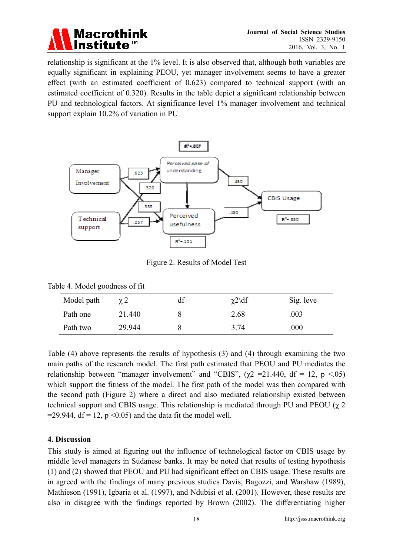

relationship is significant at the 1% level. It is also observed that, although both variables are equally significant in explaining PEOU, yet manager involvement seems to have a greater effect (with an estimated coefficient of 0.623) compared to technical support (with an estimated coefficient of 0.320). Results in the table depict a significant relationship between PU and technological factors. At significance level 1% manager involvement and technical support explain 10.2% of variation in PU



Figure 2. Results of Model Test

| Model path | $\gamma$ 2 | df | $\chi$ 2\df | Sig. leve |
|------------|------------|----|-------------|-----------|
| Path one   | 21.440     |    | 2.68        | .003      |
| Path two   | 29.944     |    | 3.74        | .000      |

Table (4) above represents the results of hypothesis (3) and (4) through examining the two main paths of the research model. The first path estimated that PEOU and PU mediates the relationship between "manager involvement" and "CBIS",  $(\gamma 2 = 21.440, df = 12, p < 0.05)$ which support the fitness of the model. The first path of the model was then compared with the second path (Figure 2) where a direct and also mediated relationship existed between technical support and CBIS usage. This relationship is mediated through PU and PEOU  $(\chi 2)$  $=$ 29.944, df = 12, p < 0.05) and the data fit the model well.

#### **4. Discussion**

This study is aimed at figuring out the influence of technological factor on CBIS usage by middle level managers in Sudanese banks. It may be noted that results of testing hypothesis (1) and (2) showed that PEOU and PU had significant effect on CBIS usage. These results are in agreed with the findings of many previous studies Davis, Bagozzi, and Warshaw (1989), Mathieson (1991), Igbaria et al. (1997), and Ndubisi et al. (2001). However, these results are also in disagree with the findings reported by Brown (2002). The differentiating higher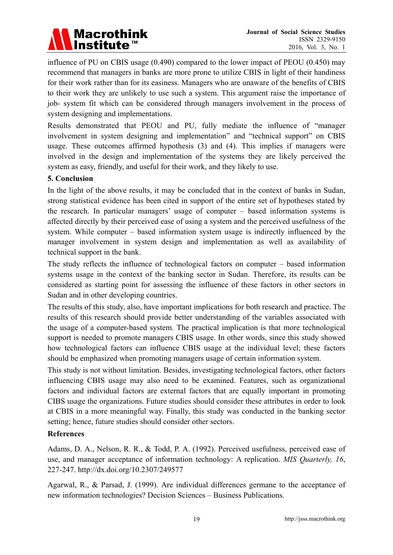# Macrothink<br>Institute™

influence of PU on CBIS usage (0.490) compared to the lower impact of PEOU (0.450) may recommend that managers in banks are more prone to utilize CBIS in light of their handiness for their work rather than for its easiness. Managers who are unaware of the benefits of CBIS to their work they are unlikely to use such a system. This argument raise the importance of job- system fit which can be considered through managers involvement in the process of system designing and implementations.

Results demonstrated that PEOU and PU, fully mediate the influence of "manager involvement in system designing and implementation" and "technical support" on CBIS usage. These outcomes affirmed hypothesis (3) and (4). This implies if managers were involved in the design and implementation of the systems they are likely perceived the system as easy, friendly, and useful for their work, and they likely to use.

#### **5. Conclusion**

In the light of the above results, it may be concluded that in the context of banks in Sudan, strong statistical evidence has been cited in support of the entire set of hypotheses stated by the research. In particular managers' usage of computer – based information systems is affected directly by their perceived ease of using a system and the perceived usefulness of the system. While computer – based information system usage is indirectly influenced by the manager involvement in system design and implementation as well as availability of technical support in the bank.

The study reflects the influence of technological factors on computer – based information systems usage in the context of the banking sector in Sudan. Therefore, its results can be considered as starting point for assessing the influence of these factors in other sectors in Sudan and in other developing countries.

The results of this study, also, have important implications for both research and practice. The results of this research should provide better understanding of the variables associated with the usage of a computer-based system. The practical implication is that more technological support is needed to promote managers CBIS usage. In other words, since this study showed how technological factors can influence CBIS usage at the individual level; these factors should be emphasized when promoting managers usage of certain information system.

This study is not without limitation. Besides, investigating technological factors, other factors influencing CBIS usage may also need to be examined. Features, such as organizational factors and individual factors are external factors that are equally important in promoting CIBS usage the organizations. Future studies should consider these attributes in order to look at CBIS in a more meaningful way. Finally, this study was conducted in the banking sector setting; hence, future studies should consider other sectors.

#### **References**

Adams, D. A., Nelson, R. R., & Todd, P. A. (1992). Perceived usefulness, perceived ease of use, and manager acceptance of information technology: A replication. *MIS Quarterly, 16*, 227-247. http://dx.doi.org/10.2307/249577

Agarwal, R., & Parsad, J. (1999). Are individual differences germane to the acceptance of new information technologies? Decision Sciences – Business Publications.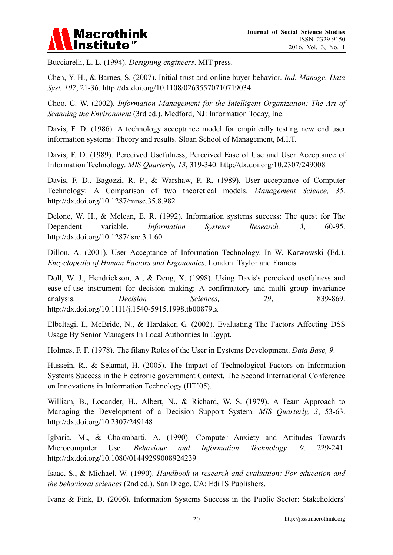

Bucciarelli, L. L. (1994). *Designing engineers*. MIT press.

Chen, Y. H., & Barnes, S. (2007). Initial trust and online buyer behavior. *Ind. Manage. Data Syst, 107*, 21-36. http://dx.doi.org/10.1108/02635570710719034

Choo, C. W. (2002). *Information Management for the Intelligent Organization: The Art of Scanning the Environment* (3rd ed.). Medford, NJ: Information Today, Inc.

Davis, F. D. (1986). A technology acceptance model for empirically testing new end user information systems: Theory and results. Sloan School of Management, M.I.T.

Davis, F. D. (1989). Perceived Usefulness, Perceived Ease of Use and User Acceptance of Information Technology. *MIS Quarterly, 13*, 319-340. http://dx.doi.org/10.2307/249008

Davis, F. D., Bagozzi, R. P., & Warshaw, P. R. (1989). User acceptance of Computer Technology: A Comparison of two theoretical models. *Management Science, 35*. http://dx.doi.org/10.1287/mnsc.35.8.982

Delone, W. H., & Mclean, E. R. (1992). Information systems success: The quest for The Dependent variable. *Information Systems Research, 3*, 60-95. http://dx.doi.org/10.1287/isre.3.1.60

Dillon, A. (2001). User Acceptance of Information Technology. In W. Karwowski (Ed.). *Encyclopedia of Human Factors and Ergonomics*. London: Taylor and Francis.

Doll, W. J., Hendrickson, A., & Deng, X. (1998). Using Davis's perceived usefulness and ease-of-use instrument for decision making: A confirmatory and multi group invariance analysis. *Decision Sciences*, 29, 839-869. http://dx.doi.org/10.1111/j.1540-5915.1998.tb00879.x

Elbeltagi, I., McBride, N., & Hardaker, G. (2002). Evaluating The Factors Affecting DSS Usage By Senior Managers In Local Authorities In Egypt.

Holmes, F. F. (1978). The filany Roles of the User in Eystems Development. *Data Base, 9*.

Hussein, R., & Selamat, H. (2005). The Impact of Technological Factors on Information Systems Success in the Electronic government Context. The Second International Conference on Innovations in Information Technology (IIT'05).

William, B., Locander, H., Albert, N., & Richard, W. S. (1979). A Team Approach to Managing the Development of a Decision Support System. *MIS Quarterly, 3*, 53-63. http://dx.doi.org/10.2307/249148

Igbaria, M., & Chakrabarti, A. (1990). Computer Anxiety and Attitudes Towards Microcomputer Use. *Behaviour and Information Technology, 9*, 229-241. http://dx.doi.org/10.1080/01449299008924239

Isaac, S., & Michael, W. (1990). *Handbook in research and evaluation: For education and the behavioral sciences* (2nd ed.). San Diego, CA: EdiTS Publishers.

Ivanz & Fink, D. (2006). Information Systems Success in the Public Sector: Stakeholders'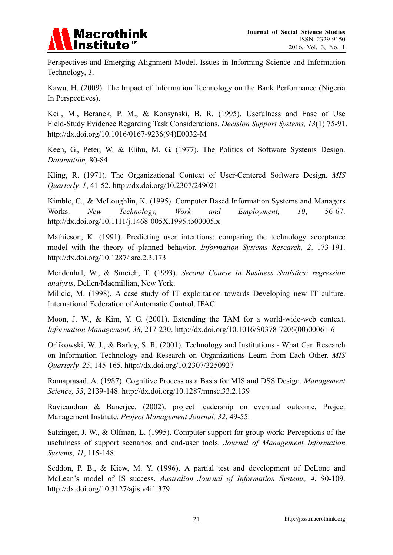

Perspectives and Emerging Alignment Model. Issues in Informing Science and Information Technology, 3.

Kawu, H. (2009). The Impact of Information Technology on the Bank Performance (Nigeria In Perspectives).

Keil, M., Beranek, P. M., & Konsynski, B. R. (1995). Usefulness and Ease of Use Field-Study Evidence Regarding Task Considerations. *Decision Support Systems, 13*(1) 75-91. http://dx.doi.org/10.1016/0167-9236(94)E0032-M

Keen, G., Peter, W. & Elihu, M. G. (1977). The Politics of Software Systems Design. *Datamation,* 80-84.

Kling, R. (1971). The Organizational Context of User-Centered Software Design. *MIS Quarterly, 1*, 41-52. http://dx.doi.org/10.2307/249021

Kimble, C., & McLoughlin, K. (1995). Computer Based Information Systems and Managers Works. *New Technology, Work and Employment, 10*, 56-67. http://dx.doi.org/10.1111/j.1468-005X.1995.tb00005.x

Mathieson, K. (1991). Predicting user intentions: comparing the technology acceptance model with the theory of planned behavior. *Information Systems Research, 2*, 173-191. http://dx.doi.org/10.1287/isre.2.3.173

Mendenhal, W., & Sincich, T. (1993). *Second Course in Business Statistics: regression analysis*. Dellen/Macmillian, New York.

Milicic, M. (1998). A case study of IT exploitation towards Developing new IT culture. International Federation of Automatic Control, IFAC.

Moon, J. W., & Kim, Y. G. (2001). Extending the TAM for a world-wide-web context. *Information Management, 38*, 217-230. http://dx.doi.org/10.1016/S0378-7206(00)00061-6

Orlikowski, W. J., & Barley, S. R. (2001). Technology and Institutions - What Can Research on Information Technology and Research on Organizations Learn from Each Other. *MIS Quarterly, 25*, 145-165. http://dx.doi.org/10.2307/3250927

Ramaprasad, A. (1987). Cognitive Process as a Basis for MIS and DSS Design. *Management Science, 33*, 2139-148. http://dx.doi.org/10.1287/mnsc.33.2.139

Ravicandran & Banerjee. (2002). project leadership on eventual outcome, Project Management Institute. *Project Management Journal, 32*, 49-55.

Satzinger, J. W., & Olfman, L. (1995). Computer support for group work: Perceptions of the usefulness of support scenarios and end-user tools. *Journal of Management Information Systems, 11*, 115-148.

Seddon, P. B., & Kiew, M. Y. (1996). A partial test and development of DeLone and McLean's model of IS success. *Australian Journal of Information Systems, 4*, 90-109. http://dx.doi.org/10.3127/ajis.v4i1.379